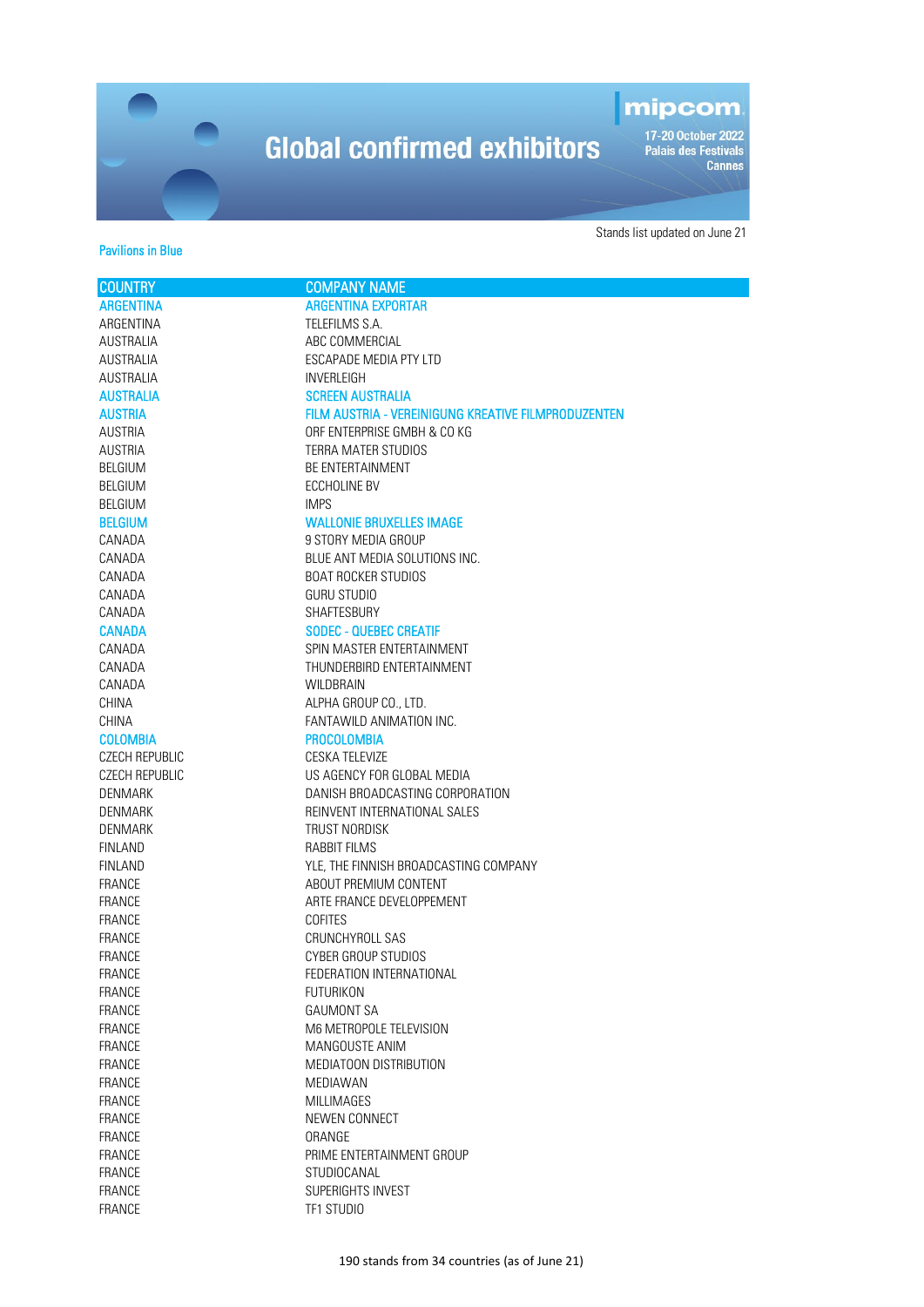### mipcom

-<br>17-20 October 2022<br>Palais des Festivals<br>Cannes

#### Pavilions in Blue

| <b>COUNTRY</b>                 | <b>COMPANY NAME</b>                                 |
|--------------------------------|-----------------------------------------------------|
| <b>ARGENTINA</b>               | <b>ARGENTINA EXPORTAR</b>                           |
| ARGENTINA                      | TELEFILMS S.A.                                      |
| <b>AUSTRALIA</b>               | ABC COMMERCIAL                                      |
| <b>AUSTRALIA</b>               | ESCAPADE MEDIA PTY LTD                              |
| <b>AUSTRALIA</b>               | <b>INVERLEIGH</b>                                   |
| <b>AUSTRALIA</b>               | <b>SCREEN AUSTRALIA</b>                             |
| <b>AUSTRIA</b>                 | FILM AUSTRIA - VEREINIGUNG KREATIVE FILMPRODUZENTEN |
| <b>AUSTRIA</b>                 | ORF ENTERPRISE GMBH & CO KG                         |
| <b>AUSTRIA</b>                 | TERRA MATER STUDIOS                                 |
| <b>BELGIUM</b>                 | <b>BE ENTERTAINMENT</b>                             |
| <b>BELGIUM</b>                 | ECCHOLINE BV                                        |
| <b>BELGIUM</b>                 | <b>IMPS</b>                                         |
| <b>BELGIUM</b>                 | <b>WALLONIE BRUXELLES IMAGE</b>                     |
| CANADA                         | 9 STORY MEDIA GROUP                                 |
| CANADA                         | BLUE ANT MEDIA SOLUTIONS INC.                       |
| CANADA                         | <b>BOAT ROCKER STUDIOS</b>                          |
| CANADA                         | <b>GURU STUDIO</b>                                  |
| CANADA                         | SHAFTESBURY                                         |
| <b>CANADA</b>                  | <b>SODEC - QUEBEC CREATIF</b>                       |
| CANADA                         | SPIN MASTER ENTERTAINMENT                           |
| CANADA                         | THUNDERBIRD ENTERTAINMENT                           |
| CANADA                         | <b>WILDBRAIN</b>                                    |
| CHINA                          | ALPHA GROUP CO., LTD.                               |
| <b>CHINA</b>                   | FANTAWILD ANIMATION INC.                            |
| <b>COLOMBIA</b>                | <b>PROCOLOMBIA</b>                                  |
| CZECH REPUBLIC                 | CESKA TELEVIZE                                      |
| CZECH REPUBLIC                 | US AGENCY FOR GLOBAL MEDIA                          |
| <b>DENMARK</b>                 | DANISH BROADCASTING CORPORATION                     |
| <b>DENMARK</b>                 | REINVENT INTERNATIONAL SALES                        |
| DENMARK                        | TRUST NORDISK                                       |
| <b>FINLAND</b>                 | <b>RABBIT FILMS</b>                                 |
| <b>FINLAND</b>                 | YLE, THE FINNISH BROADCASTING COMPANY               |
| FRANCE                         | ABOUT PREMIUM CONTENT                               |
| <b>FRANCE</b>                  | ARTE FRANCE DEVELOPPEMENT                           |
| <b>FRANCE</b>                  | COFITES                                             |
| FRANCE                         | CRUNCHYROLL SAS                                     |
| FRANCE                         | <b>CYBER GROUP STUDIOS</b>                          |
| FRANCE                         | FEDERATION INTERNATIONAL                            |
| FRANCE                         | <b>FUTURIKON</b>                                    |
| <b>FRANCE</b>                  | <b>GAUMONT SA</b>                                   |
| FRANCE                         | M6 METROPOLE TELEVISION                             |
| <b>FRANCE</b>                  | MANGOUSTE ANIM<br>MEDIATOON DISTRIBUTION            |
| <b>FRANCE</b>                  |                                                     |
| <b>FRANCE</b><br><b>FRANCE</b> | MEDIAWAN<br>MILLIMAGES                              |
| FRANCE                         | NEWEN CONNECT                                       |
| FRANCE                         | ORANGE                                              |
| <b>FRANCE</b>                  | PRIME ENTERTAINMENT GROUP                           |
| <b>FRANCE</b>                  | STUDIOCANAL                                         |
| <b>FRANCE</b>                  | SUPERIGHTS INVEST                                   |
| <b>FRANCE</b>                  | TF1 STUDIO                                          |
|                                |                                                     |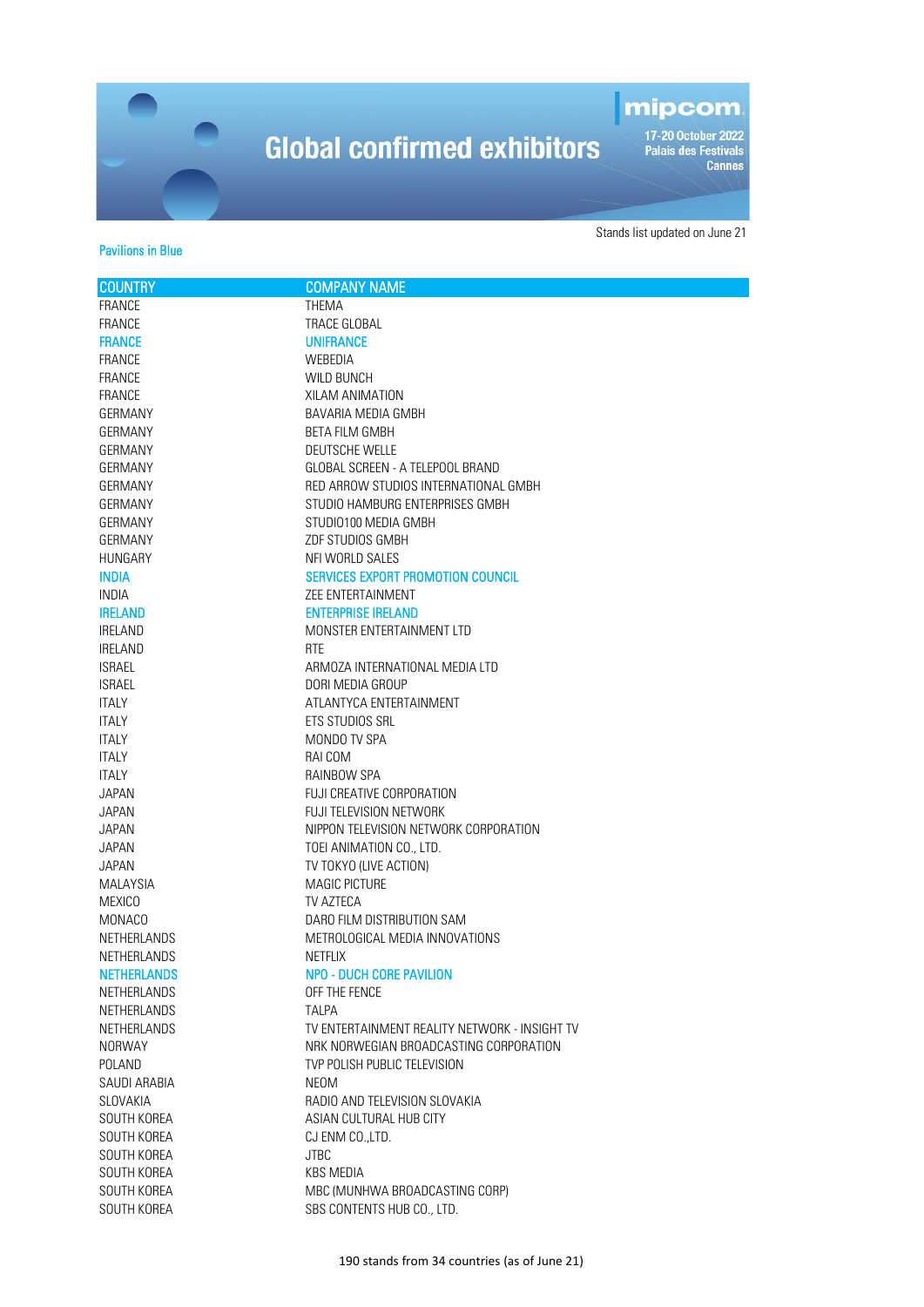### mipcom

-<br>17-20 October 2022<br>Palais des Festivals<br>Cannes

#### Pavilions in Blue

| <b>COUNTRY</b>     | <b>COMPANY NAME</b>                           |
|--------------------|-----------------------------------------------|
| <b>FRANCE</b>      | <b>THEMA</b>                                  |
| FRANCE             | TRACE GLOBAL                                  |
| <b>FRANCE</b>      | <b>UNIFRANCE</b>                              |
| FRANCE             | WEBEDIA                                       |
| FRANCE             | <b>WILD BUNCH</b>                             |
| FRANCE             | XILAM ANIMATION                               |
| GERMANY            | BAVARIA MEDIA GMBH                            |
| GERMANY            | <b>BETA FILM GMBH</b>                         |
| GERMANY            | <b>DEUTSCHE WELLE</b>                         |
| GERMANY            | GLOBAL SCREEN - A TELEPOOL BRAND              |
| GERMANY            | RED ARROW STUDIOS INTERNATIONAL GMBH          |
| GERMANY            | STUDIO HAMBURG ENTERPRISES GMBH               |
| GERMANY            | STUDIO100 MEDIA GMBH                          |
| GERMANY            | ZDF STUDIOS GMBH                              |
| HUNGARY            | NFI WORLD SALES                               |
| <b>INDIA</b>       | <b>SERVICES EXPORT PROMOTION COUNCIL</b>      |
| <b>INDIA</b>       | <b>ZEE ENTERTAINMENT</b>                      |
| <b>IRELAND</b>     | <b>ENTERPRISE IRELAND</b>                     |
| IRELAND            | MONSTER ENTERTAINMENT LTD                     |
| IRELAND            | <b>RTE</b>                                    |
| <b>ISRAEL</b>      | ARMOZA INTERNATIONAL MEDIA LTD                |
| <b>ISRAEL</b>      | DORI MEDIA GROUP                              |
| <b>ITALY</b>       | ATLANTYCA ENTERTAINMENT                       |
| <b>ITALY</b>       | ETS STUDIOS SRL                               |
| <b>ITALY</b>       | MONDO TV SPA                                  |
| <b>ITALY</b>       | RAI COM                                       |
| <b>ITALY</b>       | RAINBOW SPA                                   |
| <b>JAPAN</b>       | <b>FUJI CREATIVE CORPORATION</b>              |
| <b>JAPAN</b>       | FUJI TELEVISION NETWORK                       |
| <b>JAPAN</b>       | NIPPON TELEVISION NETWORK CORPORATION         |
| <b>JAPAN</b>       | TOEI ANIMATION CO., LTD.                      |
| JAPAN              | TV TOKYO (LIVE ACTION)                        |
| <b>MALAYSIA</b>    | MAGIC PICTURE                                 |
| <b>MEXICO</b>      | TV AZTECA                                     |
| MONACO             | DARO FILM DISTRIBUTION SAM                    |
| NETHERLANDS        | METROLOGICAL MEDIA INNOVATIONS                |
| NETHERLANDS        | <b>NETFLIX</b>                                |
| <b>NETHERLANDS</b> | <b>NPO - DUCH CORE PAVILION</b>               |
| NETHERLANDS        | OFF THE FENCE                                 |
| NETHERLANDS        | TALPA                                         |
| NETHERLANDS        | TV ENTERTAINMENT REALITY NETWORK - INSIGHT TV |
| <b>NORWAY</b>      | NRK NORWEGIAN BROADCASTING CORPORATION        |
| POLAND             | TVP POLISH PUBLIC TELEVISION                  |
| SAUDI ARABIA       | NEOM                                          |
| SLOVAKIA           | RADIO AND TELEVISION SLOVAKIA                 |
| SOUTH KOREA        | ASIAN CULTURAL HUB CITY                       |
| SOUTH KOREA        | CJ ENM CO., LTD.                              |
| SOUTH KOREA        | <b>JTBC</b>                                   |
| SOUTH KOREA        | <b>KBS MEDIA</b>                              |
| SOUTH KOREA        | MBC (MUNHWA BROADCASTING CORP)                |
| SOUTH KOREA        | SBS CONTENTS HUB CO., LTD.                    |
|                    |                                               |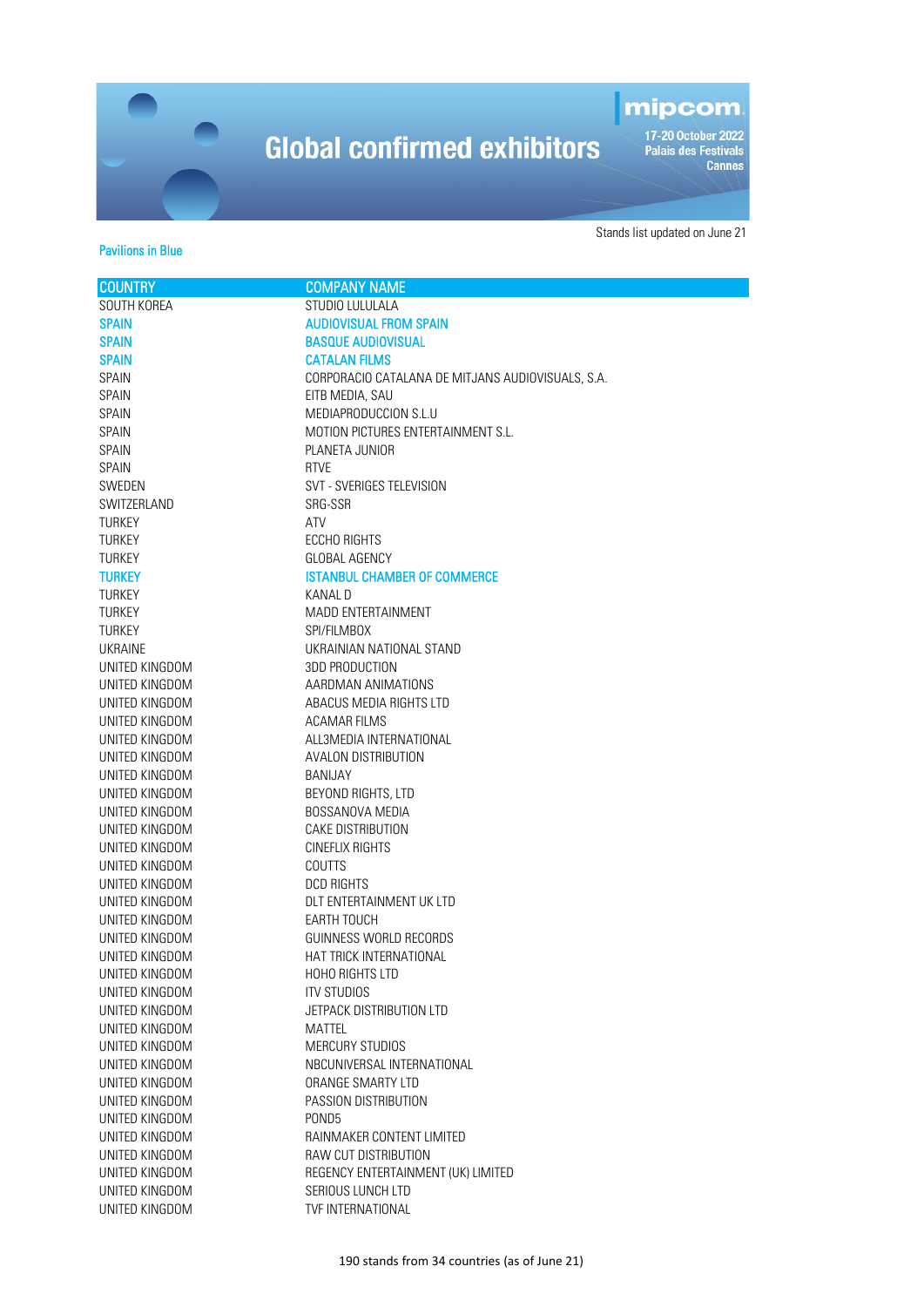### mipcom

-<br>17-20 October 2022<br>Palais des Festivals<br>Cannes

#### Pavilions in Blue

| <b>COUNTRY</b>                   | <b>COMPANY NAME</b>                               |
|----------------------------------|---------------------------------------------------|
| SOUTH KOREA                      | STUDIO LULULALA                                   |
| <b>SPAIN</b>                     | <b>AUDIOVISUAL FROM SPAIN</b>                     |
| <b>SPAIN</b>                     | <b>BASQUE AUDIOVISUAL</b>                         |
| <b>SPAIN</b>                     | <b>CATALAN FILMS</b>                              |
| SPAIN                            | CORPORACIO CATALANA DE MITJANS AUDIOVISUALS, S.A. |
| SPAIN                            | EITB MEDIA, SAU                                   |
| SPAIN                            | MEDIAPRODUCCION S.L.U                             |
| SPAIN                            | MOTION PICTURES ENTERTAINMENT S.L.                |
| SPAIN                            | PLANETA JUNIOR                                    |
| SPAIN                            | <b>RTVE</b>                                       |
| SWEDEN                           | SVT - SVERIGES TELEVISION                         |
| SWITZERLAND                      | SRG-SSR                                           |
| <b>TURKEY</b>                    | ATV                                               |
| <b>TURKEY</b>                    | <b>ECCHO RIGHTS</b>                               |
| TURKEY                           | GLOBAL AGENCY                                     |
| <b>TURKEY</b>                    | <b>ISTANBUL CHAMBER OF COMMERCE</b>               |
| <b>TURKEY</b>                    | KANAL D                                           |
| <b>TURKEY</b>                    | <b>MADD ENTERTAINMENT</b>                         |
| <b>TURKEY</b>                    | SPI/FILMBOX                                       |
| <b>UKRAINE</b>                   | UKRAINIAN NATIONAL STAND                          |
| UNITED KINGDOM                   | <b>3DD PRODUCTION</b>                             |
| UNITED KINGDOM                   | AARDMAN ANIMATIONS                                |
| UNITED KINGDOM                   | ABACUS MEDIA RIGHTS LTD                           |
| UNITED KINGDOM                   | ACAMAR FILMS                                      |
| UNITED KINGDOM                   | ALL3MEDIA INTERNATIONAL                           |
| UNITED KINGDOM                   | <b>AVALON DISTRIBUTION</b>                        |
| UNITED KINGDOM                   | BANIJAY                                           |
| UNITED KINGDOM                   | BEYOND RIGHTS, LTD                                |
| UNITED KINGDOM                   | BOSSANOVA MEDIA                                   |
| UNITED KINGDOM                   | CAKE DISTRIBUTION                                 |
| UNITED KINGDOM                   | CINEFLIX RIGHTS                                   |
| UNITED KINGDOM                   | <b>COUTTS</b>                                     |
| UNITED KINGDOM                   | <b>DCD RIGHTS</b>                                 |
| UNITED KINGDOM                   | DLT ENTERTAINMENT UK LTD                          |
| UNITED KINGDOM                   | EARTH TOUCH                                       |
| UNITED KINGDOM                   | GUINNESS WORLD RECORDS                            |
| UNITED KINGDOM                   | HAT TRICK INTERNATIONAL                           |
| UNITED KINGDOM<br>UNITED KINGDOM | HOHO RIGHTS LTD<br><b>ITV STUDIOS</b>             |
| UNITED KINGDOM                   | JETPACK DISTRIBUTION LTD                          |
| UNITED KINGDOM                   | <b>MATTEL</b>                                     |
| UNITED KINGDOM                   | <b>MERCURY STUDIOS</b>                            |
| UNITED KINGDOM                   | NBCUNIVERSAL INTERNATIONAL                        |
| UNITED KINGDOM                   | ORANGE SMARTY LTD                                 |
| UNITED KINGDOM                   | PASSION DISTRIBUTION                              |
| UNITED KINGDOM                   | POND <sub>5</sub>                                 |
| UNITED KINGDOM                   | RAINMAKER CONTENT LIMITED                         |
| UNITED KINGDOM                   | RAW CUT DISTRIBUTION                              |
| UNITED KINGDOM                   | REGENCY ENTERTAINMENT (UK) LIMITED                |
| UNITED KINGDOM                   | SERIOUS LUNCH LTD                                 |
| UNITED KINGDOM                   | TVF INTERNATIONAL                                 |
|                                  |                                                   |